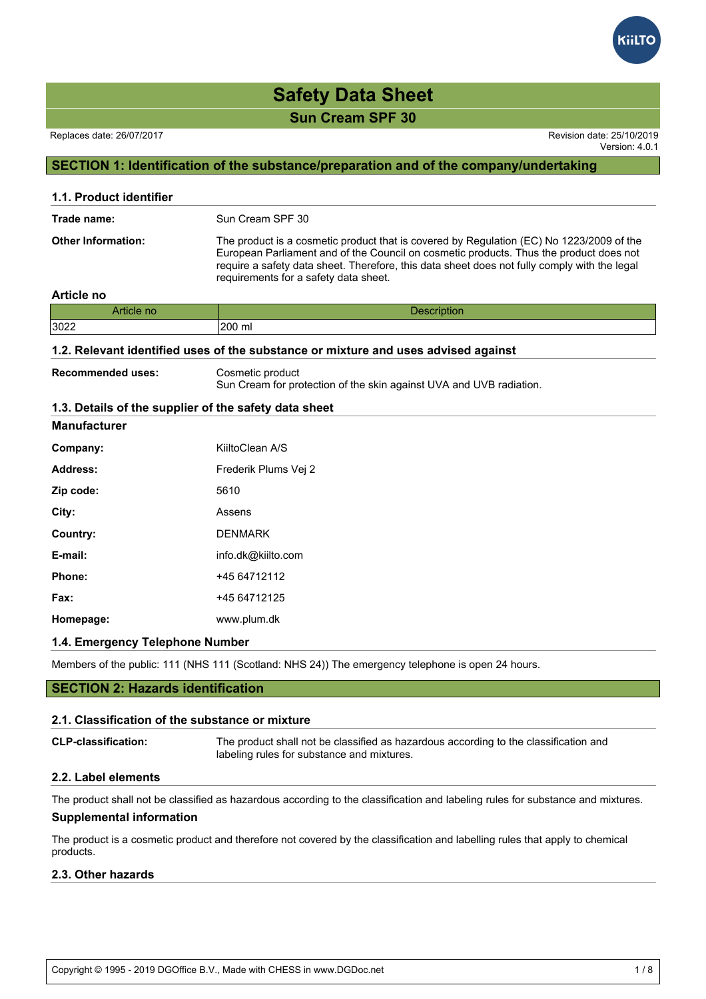Version: 4.0.1

# **SECTION 1: Identification of the substance/preparation and of the company/undertaking**

| 1.1. Product identifier   |                                                                                                                                                                                                                                                                                                                             |
|---------------------------|-----------------------------------------------------------------------------------------------------------------------------------------------------------------------------------------------------------------------------------------------------------------------------------------------------------------------------|
| Trade name:               | Sun Cream SPF 30                                                                                                                                                                                                                                                                                                            |
| <b>Other Information:</b> | The product is a cosmetic product that is covered by Regulation (EC) No 1223/2009 of the<br>European Parliament and of the Council on cosmetic products. Thus the product does not<br>require a safety data sheet. Therefore, this data sheet does not fully comply with the legal<br>requirements for a safety data sheet. |

#### **Article no**

| <b>Contract Contract Contract</b> | .                 |
|-----------------------------------|-------------------|
| Article no                        | <b>UESCHIPHON</b> |
| 3022                              | 200 ml            |

#### **1.2. Relevant identified uses of the substance or mixture and uses advised against**

**Recommended uses:** Cosmetic product

Sun Cream for protection of the skin against UVA and UVB radiation.

## **1.3. Details of the supplier of the safety data sheet**

| <b>Manufacturer</b> |                      |
|---------------------|----------------------|
| Company:            | KiiltoClean A/S      |
| Address:            | Frederik Plums Vej 2 |
| Zip code:           | 5610                 |
| City:               | Assens               |
| Country:            | <b>DENMARK</b>       |
| E-mail:             | info.dk@kiilto.com   |
| Phone:              | +45 64712112         |
| Fax:                | +45 64712125         |
| Homepage:           | www.plum.dk          |

## **1.4. Emergency Telephone Number**

Members of the public: 111 (NHS 111 (Scotland: NHS 24)) The emergency telephone is open 24 hours.

# **SECTION 2: Hazards identification**

#### **2.1. Classification of the substance or mixture**

**CLP-classification:** The product shall not be classified as hazardous according to the classification and labeling rules for substance and mixtures.

# **2.2. Label elements**

The product shall not be classified as hazardous according to the classification and labeling rules for substance and mixtures. **Supplemental information**

The product is a cosmetic product and therefore not covered by the classification and labelling rules that apply to chemical products.

## **2.3. Other hazards**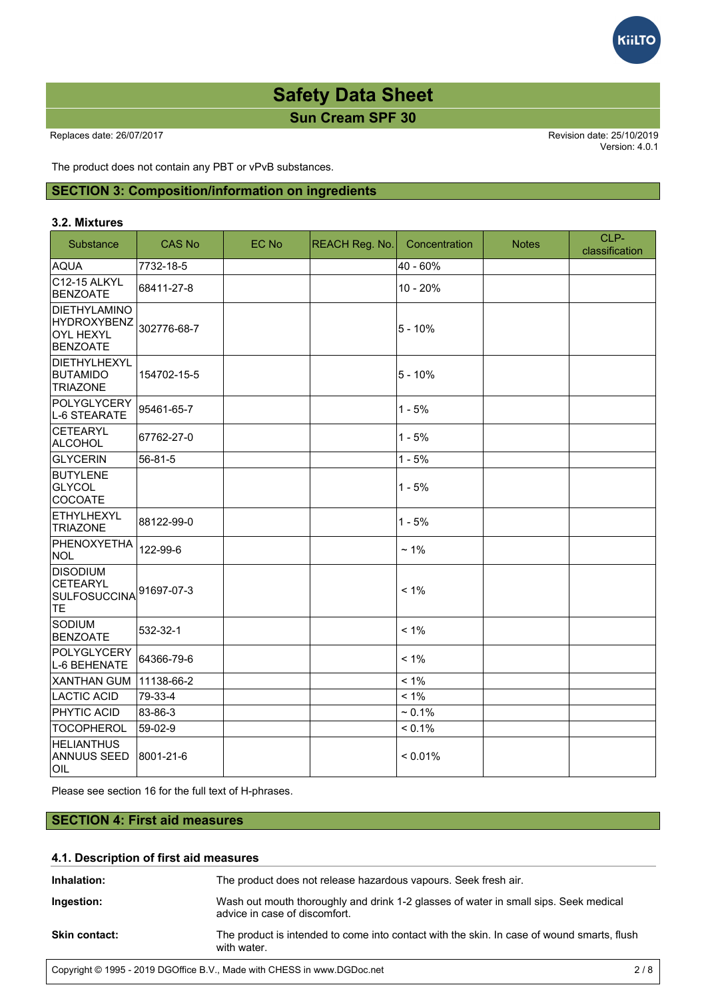Version: 4.0.1

*<u><b>KiiLTC</u>* 

The product does not contain any PBT or vPvB substances.

# **SECTION 3: Composition/information on ingredients**

#### **3.2. Mixtures**

| Substance                                                          | <b>CAS No</b> | EC No | <b>REACH Reg. No.</b> | Concentration | <b>Notes</b> | CLP-<br>classification |
|--------------------------------------------------------------------|---------------|-------|-----------------------|---------------|--------------|------------------------|
| <b>AQUA</b>                                                        | 7732-18-5     |       |                       | 40 - 60%      |              |                        |
| C12-15 ALKYL<br><b>BENZOATE</b>                                    | 68411-27-8    |       |                       | 10 - 20%      |              |                        |
| DIETHYLAMINO<br>HYDROXYBENZ<br><b>OYL HEXYL</b><br><b>BENZOATE</b> | 302776-68-7   |       |                       | $5 - 10%$     |              |                        |
| DIETHYLHEXYL<br><b>BUTAMIDO</b><br><b>TRIAZONE</b>                 | 154702-15-5   |       |                       | $5 - 10%$     |              |                        |
| POLYGLYCERY<br>L-6 STEARATE                                        | 95461-65-7    |       |                       | $1 - 5%$      |              |                        |
| CETEARYL<br>ALCOHOL                                                | 67762-27-0    |       |                       | $1 - 5%$      |              |                        |
| GLYCERIN                                                           | $56 - 81 - 5$ |       |                       | $1 - 5%$      |              |                        |
| <b>BUTYLENE</b><br>GLYCOL<br><b>COCOATE</b>                        |               |       |                       | $1 - 5%$      |              |                        |
| ETHYLHEXYL<br><b>TRIAZONE</b>                                      | 88122-99-0    |       |                       | $1 - 5%$      |              |                        |
| PHENOXYETHA<br>NOL                                                 | 122-99-6      |       |                       | $~1\%$        |              |                        |
| <b>DISODIUM</b><br>CETEARYL<br>SULFOSUCCINA<br>TE                  | 91697-07-3    |       |                       | $< 1\%$       |              |                        |
| <b>SODIUM</b><br><b>BENZOATE</b>                                   | 532-32-1      |       |                       | $< 1\%$       |              |                        |
| POLYGLYCERY<br>L-6 BEHENATE                                        | 64366-79-6    |       |                       | $< 1\%$       |              |                        |
| <b>XANTHAN GUM</b>                                                 | 11138-66-2    |       |                       | $< 1\%$       |              |                        |
| LACTIC ACID                                                        | 79-33-4       |       |                       | $< 1\%$       |              |                        |
| <b>PHYTIC ACID</b>                                                 | 83-86-3       |       |                       | $~1\%$        |              |                        |
| TOCOPHEROL                                                         | 59-02-9       |       |                       | $< 0.1\%$     |              |                        |
| <b>HELIANTHUS</b><br><b>ANNUUS SEED</b><br>OIL                     | 8001-21-6     |       |                       | < 0.01%       |              |                        |

Please see section 16 for the full text of H-phrases.

# **SECTION 4: First aid measures**

# **4.1. Description of first aid measures**

| Inhalation:          | The product does not release hazardous vapours. Seek fresh air.                                                       |
|----------------------|-----------------------------------------------------------------------------------------------------------------------|
| Ingestion:           | Wash out mouth thoroughly and drink 1-2 glasses of water in small sips. Seek medical<br>advice in case of discomfort. |
| <b>Skin contact:</b> | The product is intended to come into contact with the skin. In case of wound smarts, flush<br>with water.             |
|                      |                                                                                                                       |

Copyright © 1995 - 2019 DGOffice B.V., Made with CHESS in www.DGDoc.net 2 / 8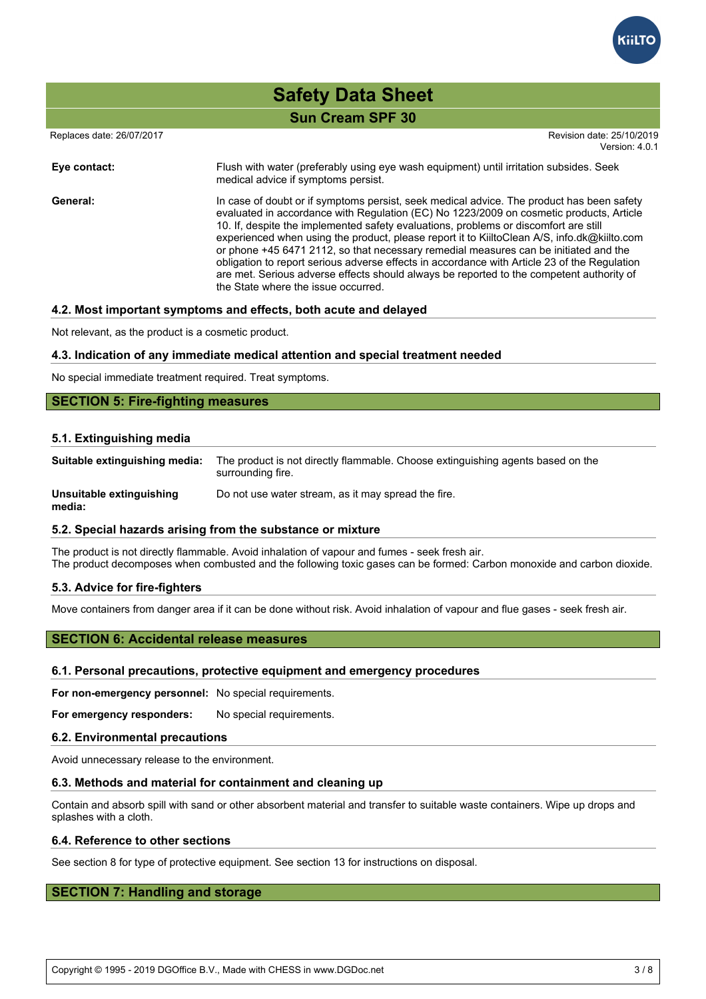

Replaces date: 26/07/2017 **Replaces** date: 25/10/2019

Version: 4.0.1

| Eye contact: | Flush with water (preferably using eye wash equipment) until irritation subsides. Seek<br>medical advice if symptoms persist.                                                                                                                                                                                                                                                                                                                                                                                                                                                                                                                                                                          |
|--------------|--------------------------------------------------------------------------------------------------------------------------------------------------------------------------------------------------------------------------------------------------------------------------------------------------------------------------------------------------------------------------------------------------------------------------------------------------------------------------------------------------------------------------------------------------------------------------------------------------------------------------------------------------------------------------------------------------------|
| General:     | In case of doubt or if symptoms persist, seek medical advice. The product has been safety<br>evaluated in accordance with Regulation (EC) No 1223/2009 on cosmetic products, Article<br>10. If, despite the implemented safety evaluations, problems or discomfort are still<br>experienced when using the product, please report it to KiiltoClean A/S, info.dk@kiilto.com<br>or phone +45 6471 2112, so that necessary remedial measures can be initiated and the<br>obligation to report serious adverse effects in accordance with Article 23 of the Regulation<br>are met. Serious adverse effects should always be reported to the competent authority of<br>the State where the issue occurred. |

# **4.2. Most important symptoms and effects, both acute and delayed**

Not relevant, as the product is a cosmetic product.

## **4.3. Indication of any immediate medical attention and special treatment needed**

No special immediate treatment required. Treat symptoms.

## **SECTION 5: Fire-fighting measures**

#### **5.1. Extinguishing media**

| Suitable extinguishing media:      | The product is not directly flammable. Choose extinguishing agents based on the<br>surrounding fire. |
|------------------------------------|------------------------------------------------------------------------------------------------------|
| Unsuitable extinguishing<br>media: | Do not use water stream, as it may spread the fire.                                                  |

## **5.2. Special hazards arising from the substance or mixture**

The product is not directly flammable. Avoid inhalation of vapour and fumes - seek fresh air. The product decomposes when combusted and the following toxic gases can be formed: Carbon monoxide and carbon dioxide.

#### **5.3. Advice for fire-fighters**

Move containers from danger area if it can be done without risk. Avoid inhalation of vapour and flue gases - seek fresh air.

# **SECTION 6: Accidental release measures**

# **6.1. Personal precautions, protective equipment and emergency procedures**

**For non-emergency personnel:** No special requirements.

**For emergency responders:** No special requirements.

#### **6.2. Environmental precautions**

Avoid unnecessary release to the environment.

#### **6.3. Methods and material for containment and cleaning up**

Contain and absorb spill with sand or other absorbent material and transfer to suitable waste containers. Wipe up drops and splashes with a cloth.

#### **6.4. Reference to other sections**

See section 8 for type of protective equipment. See section 13 for instructions on disposal.

# **SECTION 7: Handling and storage**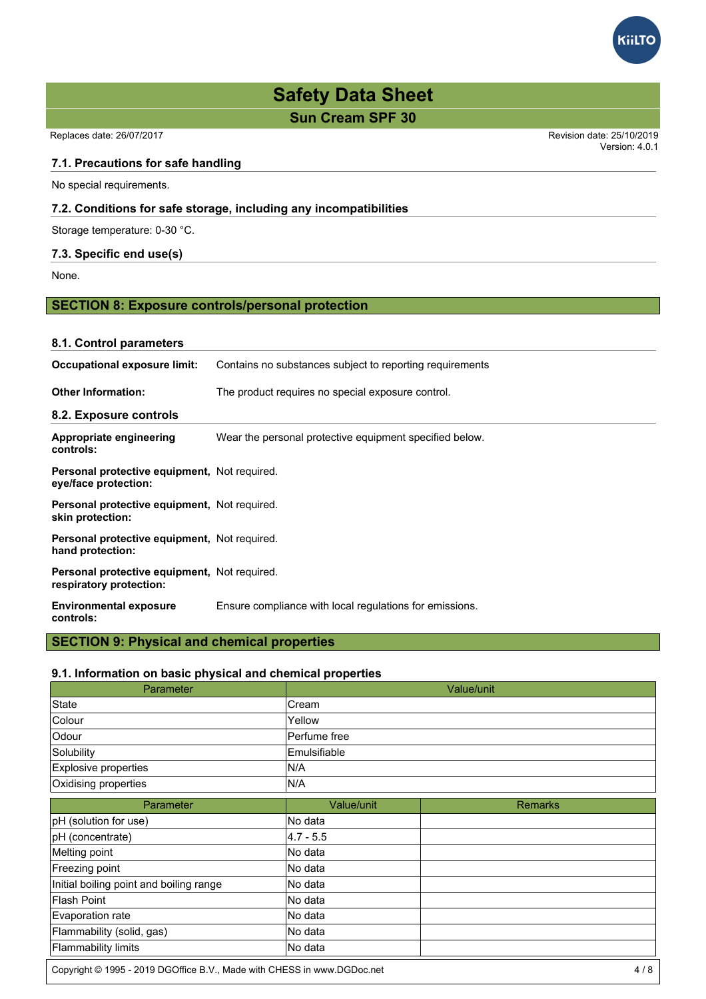Replaces date: 26/07/2017 Revision date: 25/10/2019

**7.1. Precautions for safe handling**

No special requirements.

# **7.2. Conditions for safe storage, including any incompatibilities**

Storage temperature: 0-30 °C.

# **7.3. Specific end use(s)**

None.

# **SECTION 8: Exposure controls/personal protection**

| 8.1. Control parameters                                                 |                                                          |
|-------------------------------------------------------------------------|----------------------------------------------------------|
| Occupational exposure limit:                                            | Contains no substances subject to reporting requirements |
| <b>Other Information:</b>                                               | The product requires no special exposure control.        |
| 8.2. Exposure controls                                                  |                                                          |
| Appropriate engineering<br>controls:                                    | Wear the personal protective equipment specified below.  |
| Personal protective equipment, Not required.<br>eye/face protection:    |                                                          |
| Personal protective equipment, Not required.<br>skin protection:        |                                                          |
| Personal protective equipment, Not required.<br>hand protection:        |                                                          |
| Personal protective equipment, Not required.<br>respiratory protection: |                                                          |
| <b>Environmental exposure</b><br>controls:                              | Ensure compliance with local regulations for emissions.  |

# **SECTION 9: Physical and chemical properties**

# **9.1. Information on basic physical and chemical properties**

| Parameter            |                     | Value/unit |
|----------------------|---------------------|------------|
| State                | <b>ICream</b>       |            |
| Colour               | Yellow              |            |
| <b>Odour</b>         | Perfume free        |            |
| Solubility           | <b>Emulsifiable</b> |            |
| Explosive properties | IN/A                |            |
| Oxidising properties | IN/A                |            |
| <b>Doromotor</b>     | $\frac{1}{2}$       | Domarke    |

| Parameter                               | Value/unit | <b>Remarks</b> |
|-----------------------------------------|------------|----------------|
| pH (solution for use)                   | No data    |                |
| pH (concentrate)                        | 4.7 - 5.5  |                |
| Melting point                           | lNo data   |                |
| Freezing point                          | INo data   |                |
| Initial boiling point and boiling range | lNo data   |                |
| Flash Point                             | INo data   |                |
| Evaporation rate                        | lNo data   |                |
| Flammability (solid, gas)               | lNo data   |                |
| Flammability limits                     | lNo data   |                |

Copyright © 1995 - 2019 DGOffice B.V., Made with CHESS in www.DGDoc.net 4 / 8

Version: 4.0.1

GiltTC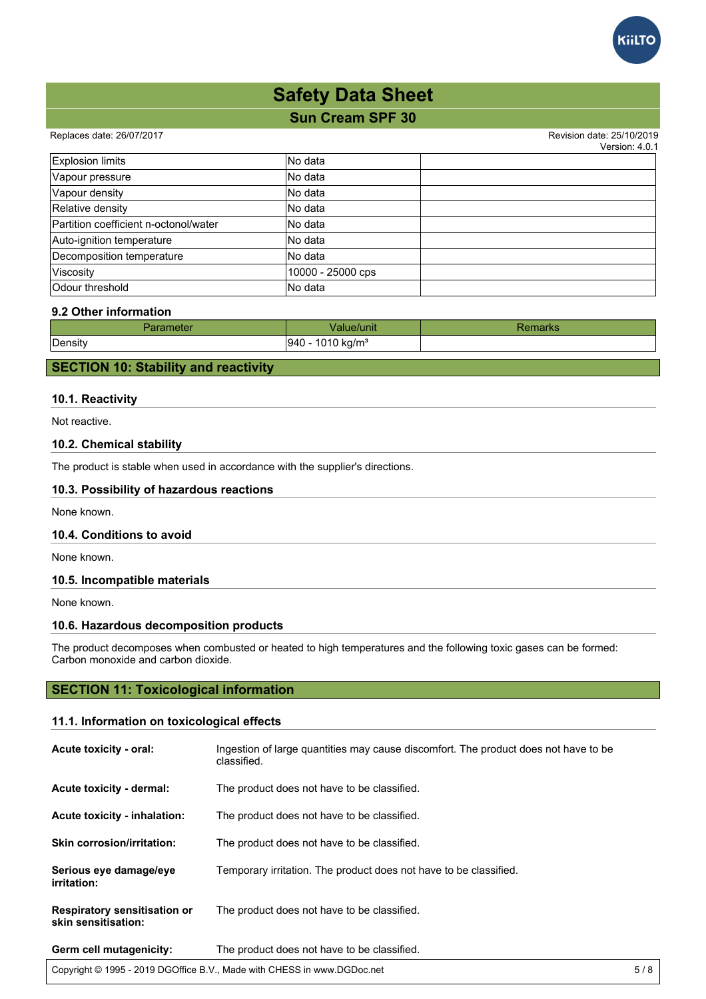

#### Replaces date: 26/07/2017 **Replaces** date: 25/10/2019

 $V$ orojon:  $4.0.1$ 

|                                       |                   | <u>VEISIUIL 4.0. I</u> |
|---------------------------------------|-------------------|------------------------|
| <b>Explosion limits</b>               | No data           |                        |
| Vapour pressure                       | No data           |                        |
| Vapour density                        | lNo data          |                        |
| Relative density                      | lNo data          |                        |
| Partition coefficient n-octonol/water | lNo data          |                        |
| Auto-ignition temperature             | lNo data          |                        |
| Decomposition temperature             | No data           |                        |
| Viscosity                             | 10000 - 25000 cps |                        |
| Odour threshold                       | No data           |                        |

#### **9.2 Other information**

| arameter <sup>,</sup> | √alue/unit                     | lefildin S |
|-----------------------|--------------------------------|------------|
| Density               | 1010 kg/m <sup>3</sup><br>1940 |            |
|                       |                                |            |

# **SECTION 10: Stability and reactivity**

## **10.1. Reactivity**

Not reactive.

## **10.2. Chemical stability**

The product is stable when used in accordance with the supplier's directions.

## **10.3. Possibility of hazardous reactions**

None known.

#### **10.4. Conditions to avoid**

None known.

# **10.5. Incompatible materials**

None known.

#### **10.6. Hazardous decomposition products**

The product decomposes when combusted or heated to high temperatures and the following toxic gases can be formed: Carbon monoxide and carbon dioxide.

# **SECTION 11: Toxicological information**

#### **11.1. Information on toxicological effects**

| Acute toxicity - oral:                                     | Ingestion of large quantities may cause discomfort. The product does not have to be<br>classified. |
|------------------------------------------------------------|----------------------------------------------------------------------------------------------------|
| Acute toxicity - dermal:                                   | The product does not have to be classified.                                                        |
| Acute toxicity - inhalation:                               | The product does not have to be classified.                                                        |
| <b>Skin corrosion/irritation:</b>                          | The product does not have to be classified.                                                        |
| Serious eye damage/eye<br>irritation:                      | Temporary irritation. The product does not have to be classified.                                  |
| <b>Respiratory sensitisation or</b><br>skin sensitisation: | The product does not have to be classified.                                                        |
| Germ cell mutagenicity:                                    | The product does not have to be classified.                                                        |

Copyright © 1995 - 2019 DGOffice B.V., Made with CHESS in www.DGDoc.net 5 / 8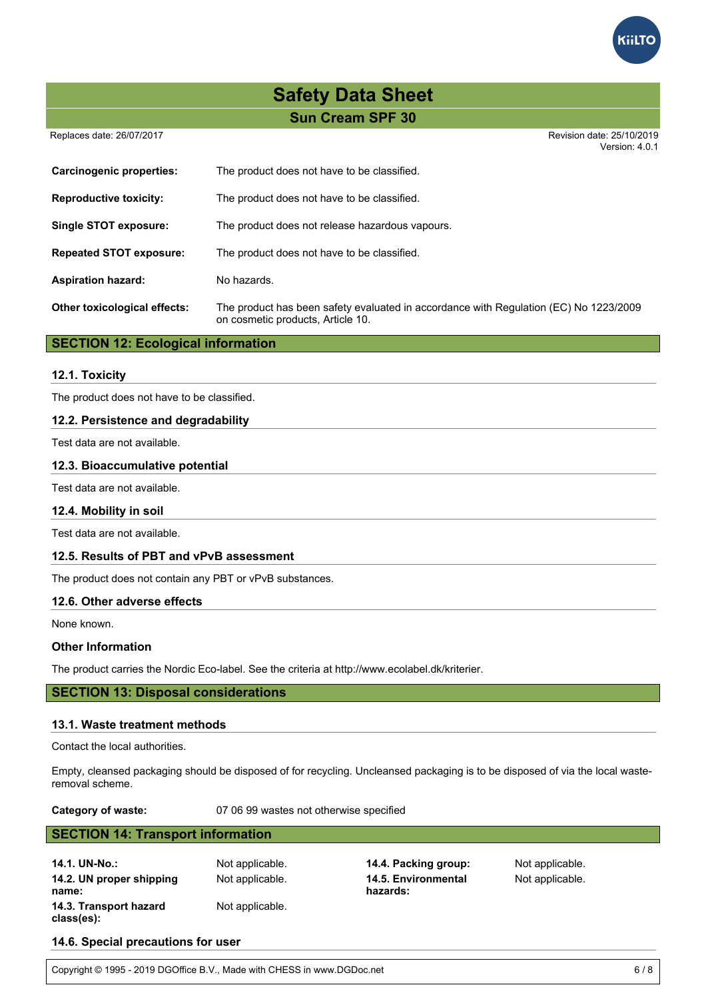Replaces date: 26/07/2017 **Replaces** date: 25/10/2019

|                                 |                                                                                                                            | Version: 4.0.1 |
|---------------------------------|----------------------------------------------------------------------------------------------------------------------------|----------------|
| <b>Carcinogenic properties:</b> | The product does not have to be classified.                                                                                |                |
| <b>Reproductive toxicity:</b>   | The product does not have to be classified.                                                                                |                |
| <b>Single STOT exposure:</b>    | The product does not release hazardous vapours.                                                                            |                |
| <b>Repeated STOT exposure:</b>  | The product does not have to be classified.                                                                                |                |
| <b>Aspiration hazard:</b>       | No hazards.                                                                                                                |                |
| Other toxicological effects:    | The product has been safety evaluated in accordance with Regulation (EC) No 1223/2009<br>on cosmetic products, Article 10. |                |
|                                 |                                                                                                                            |                |

# **SECTION 12: Ecological information**

#### **12.1. Toxicity**

The product does not have to be classified.

# **12.2. Persistence and degradability**

Test data are not available.

#### **12.3. Bioaccumulative potential**

Test data are not available.

#### **12.4. Mobility in soil**

Test data are not available.

## **12.5. Results of PBT and vPvB assessment**

The product does not contain any PBT or vPvB substances.

#### **12.6. Other adverse effects**

None known.

#### **Other Information**

The product carries the Nordic Eco-label. See the criteria at http://www.ecolabel.dk/kriterier.

# **SECTION 13: Disposal considerations**

#### **13.1. Waste treatment methods**

Contact the local authorities.

Empty, cleansed packaging should be disposed of for recycling. Uncleansed packaging is to be disposed of via the local wasteremoval scheme.

**Category of waste:** 07 06 99 wastes not otherwise specified

# **SECTION 14: Transport information**

**14.1. UN-No.:** Not applicable. **14.4. Packing group:** Not applicable. **14.2. UN proper shipping name: 14.3. Transport hazard class(es):** Not applicable.

Not applicable. **14.5. Environmental hazards:**

Not applicable.

## **14.6. Special precautions for user**

Copyright © 1995 - 2019 DGOffice B.V., Made with CHESS in www.DGDoc.net 6 / 8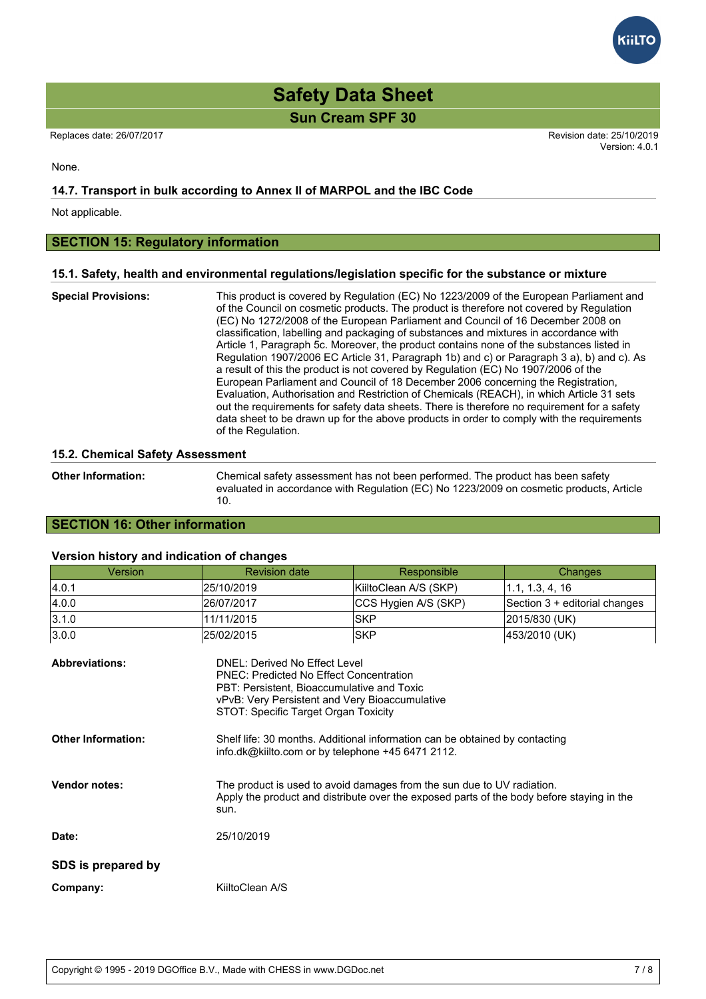Replaces date: 26/07/2017 **Replaces** date: 25/10/2019 Version: 4.0.1

None.

# **14.7. Transport in bulk according to Annex II of MARPOL and the IBC Code**

Not applicable.

# **SECTION 15: Regulatory information**

## **15.1. Safety, health and environmental regulations/legislation specific for the substance or mixture**

**Special Provisions:** This product is covered by Regulation (EC) No 1223/2009 of the European Parliament and of the Council on cosmetic products. The product is therefore not covered by Regulation (EC) No 1272/2008 of the European Parliament and Council of 16 December 2008 on classification, labelling and packaging of substances and mixtures in accordance with Article 1, Paragraph 5c. Moreover, the product contains none of the substances listed in Regulation 1907/2006 EC Article 31, Paragraph 1b) and c) or Paragraph 3 a), b) and c). As a result of this the product is not covered by Regulation (EC) No 1907/2006 of the European Parliament and Council of 18 December 2006 concerning the Registration, Evaluation, Authorisation and Restriction of Chemicals (REACH), in which Article 31 sets out the requirements for safety data sheets. There is therefore no requirement for a safety data sheet to be drawn up for the above products in order to comply with the requirements of the Regulation.

#### **15.2. Chemical Safety Assessment**

**Other Information:** Chemical safety assessment has not been performed. The product has been safety evaluated in accordance with Regulation (EC) No 1223/2009 on cosmetic products, Article 10.

# **SECTION 16: Other information**

# **Version history and indication of changes**

| <b>Version</b>            | <b>Revision date</b>                                                                                                                                                                                                    | Responsible           | Changes                       |  |  |
|---------------------------|-------------------------------------------------------------------------------------------------------------------------------------------------------------------------------------------------------------------------|-----------------------|-------------------------------|--|--|
| 4.0.1                     | 25/10/2019                                                                                                                                                                                                              | KiiltoClean A/S (SKP) | 1.1, 1.3, 4, 16               |  |  |
| 4.0.0                     | 26/07/2017                                                                                                                                                                                                              | CCS Hygien A/S (SKP)  | Section 3 + editorial changes |  |  |
| 3.1.0                     | 11/11/2015                                                                                                                                                                                                              | <b>SKP</b>            | 2015/830 (UK)                 |  |  |
| 3.0.0                     | 25/02/2015                                                                                                                                                                                                              | <b>SKP</b>            | 453/2010 (UK)                 |  |  |
| <b>Abbreviations:</b>     | DNEL: Derived No Effect Level<br><b>PNEC: Predicted No Effect Concentration</b><br>PBT: Persistent, Bioaccumulative and Toxic<br>vPvB: Very Persistent and Very Bioaccumulative<br>STOT: Specific Target Organ Toxicity |                       |                               |  |  |
| <b>Other Information:</b> | Shelf life: 30 months. Additional information can be obtained by contacting<br>info.dk@kiilto.com or by telephone +45 6471 2112.                                                                                        |                       |                               |  |  |
| <b>Vendor notes:</b>      | The product is used to avoid damages from the sun due to UV radiation.<br>Apply the product and distribute over the exposed parts of the body before staying in the<br>sun.                                             |                       |                               |  |  |
| Date:                     | 25/10/2019                                                                                                                                                                                                              |                       |                               |  |  |

**SDS is prepared by**

**Company:** KiiltoClean A/S